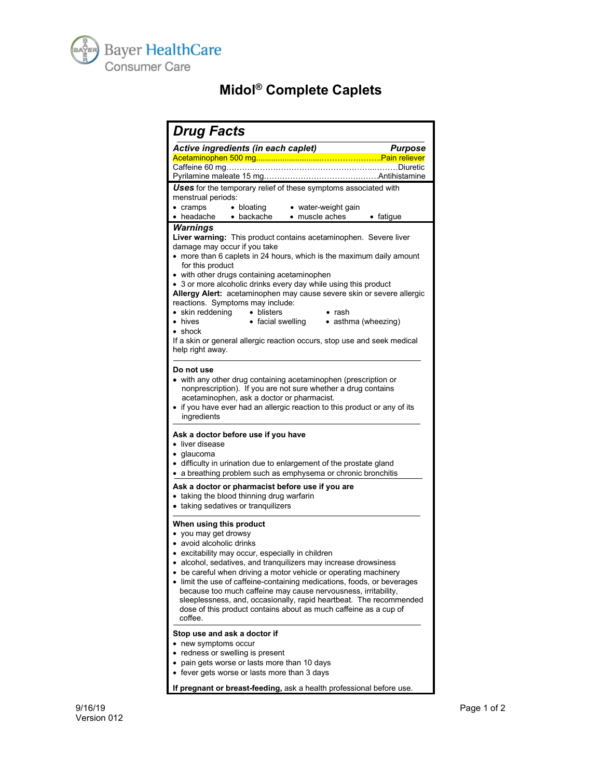

## **Midol® Complete Caplets**

| <b>Drug Facts</b>                                                                                                                                                                                                                                                                                                                                                                                                                                                                                                                                                                                                                                                            |                |
|------------------------------------------------------------------------------------------------------------------------------------------------------------------------------------------------------------------------------------------------------------------------------------------------------------------------------------------------------------------------------------------------------------------------------------------------------------------------------------------------------------------------------------------------------------------------------------------------------------------------------------------------------------------------------|----------------|
| Active ingredients (in each caplet)                                                                                                                                                                                                                                                                                                                                                                                                                                                                                                                                                                                                                                          | <b>Purpose</b> |
|                                                                                                                                                                                                                                                                                                                                                                                                                                                                                                                                                                                                                                                                              |                |
| Caffeine 60 mg………………………………………………………Diuretic                                                                                                                                                                                                                                                                                                                                                                                                                                                                                                                                                                                                                                  |                |
| Uses for the temporary relief of these symptoms associated with                                                                                                                                                                                                                                                                                                                                                                                                                                                                                                                                                                                                              |                |
| menstrual periods:                                                                                                                                                                                                                                                                                                                                                                                                                                                                                                                                                                                                                                                           |                |
| $\bullet$ bloating<br>• water-weight gain<br>$\bullet$ cramps                                                                                                                                                                                                                                                                                                                                                                                                                                                                                                                                                                                                                |                |
| • headache • backache<br>• muscle aches                                                                                                                                                                                                                                                                                                                                                                                                                                                                                                                                                                                                                                      | • fatigue      |
| Warnings<br>Liver warning: This product contains acetaminophen. Severe liver<br>damage may occur if you take<br>• more than 6 caplets in 24 hours, which is the maximum daily amount<br>for this product<br>• with other drugs containing acetaminophen<br>• 3 or more alcoholic drinks every day while using this product<br>Allergy Alert: acetaminophen may cause severe skin or severe allergic<br>reactions. Symptoms may include:<br>• skin reddening<br>• blisters<br>$\bullet$ rash<br>• facial swelling • asthma (wheezing)<br>$\bullet\,$ hives<br>$\bullet$ shock<br>If a skin or general allergic reaction occurs, stop use and seek medical<br>help right away. |                |
| Do not use<br>• with any other drug containing acetaminophen (prescription or<br>nonprescription). If you are not sure whether a drug contains<br>acetaminophen, ask a doctor or pharmacist.<br>• if you have ever had an allergic reaction to this product or any of its<br>ingredients                                                                                                                                                                                                                                                                                                                                                                                     |                |
| Ask a doctor before use if you have<br>• liver disease<br>$\bullet$ glaucoma<br>• difficulty in urination due to enlargement of the prostate gland<br>• a breathing problem such as emphysema or chronic bronchitis<br>Ask a doctor or pharmacist before use if you are<br>• taking the blood thinning drug warfarin<br>• taking sedatives or tranquilizers                                                                                                                                                                                                                                                                                                                  |                |
| When using this product<br>• you may get drowsy<br>• avoid alcoholic drinks<br>• excitability may occur, especially in children<br>alcohol, sedatives, and tranquilizers may increase drowsiness<br>• be careful when driving a motor vehicle or operating machinery<br>limit the use of caffeine-containing medications, foods, or beverages<br>because too much caffeine may cause nervousness, irritability,<br>sleeplessness, and, occasionally, rapid heartbeat. The recommended<br>dose of this product contains about as much caffeine as a cup of<br>coffee.                                                                                                         |                |
| Stop use and ask a doctor if<br>• new symptoms occur<br>redness or swelling is present<br>pain gets worse or lasts more than 10 days<br>• fever gets worse or lasts more than 3 days<br>If pregnant or breast-feeding, ask a health professional before use.                                                                                                                                                                                                                                                                                                                                                                                                                 |                |